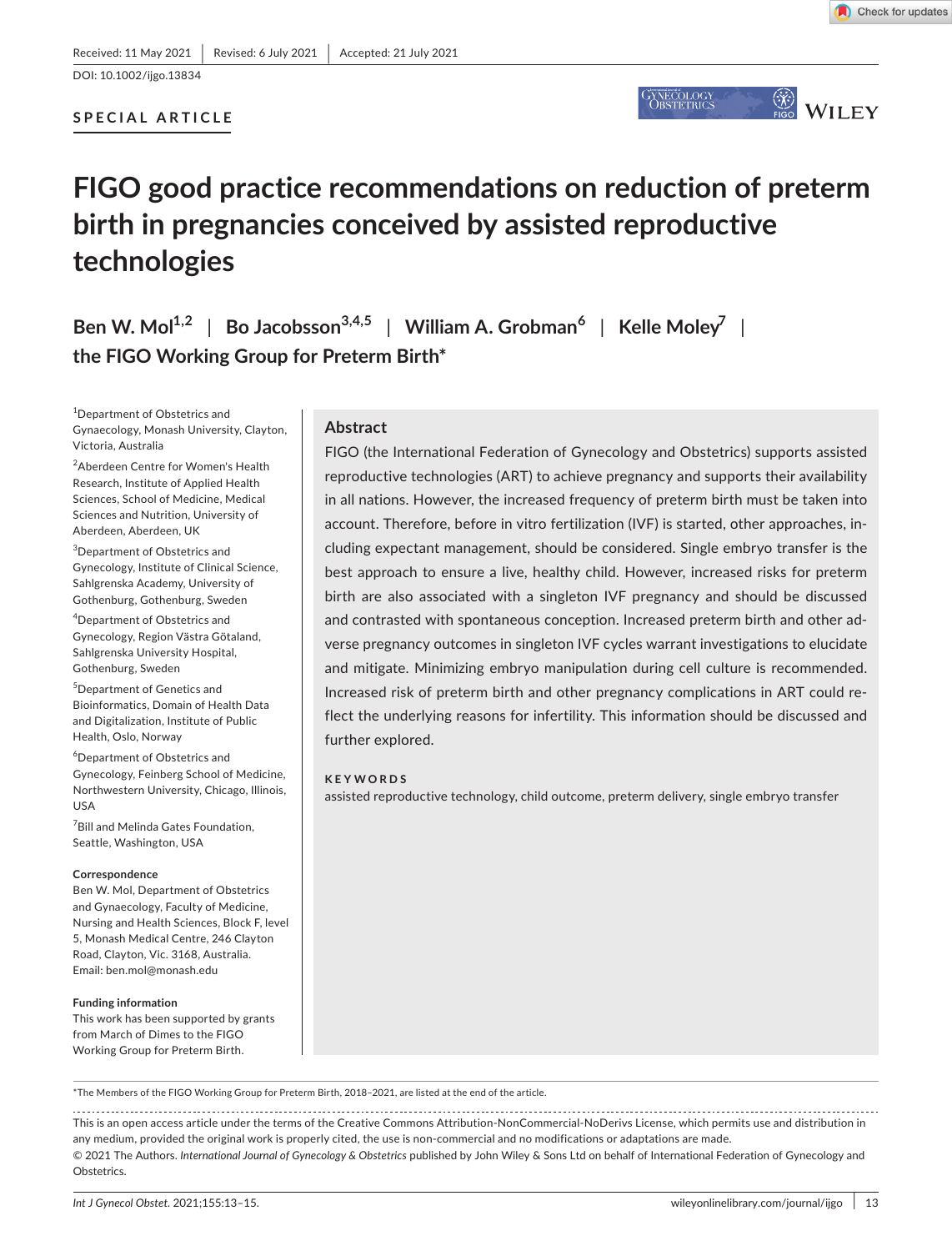## **SPECIAL ARTICLE**



# **FIGO good practice recommendations on reduction of preterm birth in pregnancies conceived by assisted reproductive technologies**

**Ben W.**  $\text{Mol}^{1,2}$  | **Bo** Jacobsson<sup>3,4,5</sup> | William A. Grobman<sup>6</sup> | Kelle  $\text{Moley}^7$  | **the FIGO Working Group for Preterm Birth\***

1 Department of Obstetrics and Gynaecology, Monash University, Clayton, Victoria, Australia

2 Aberdeen Centre for Women's Health Research, Institute of Applied Health Sciences, School of Medicine, Medical Sciences and Nutrition, University of Aberdeen, Aberdeen, UK

3 Department of Obstetrics and Gynecology, Institute of Clinical Science, Sahlgrenska Academy, University of Gothenburg, Gothenburg, Sweden

4 Department of Obstetrics and Gynecology, Region Västra Götaland, Sahlgrenska University Hospital, Gothenburg, Sweden

5 Department of Genetics and Bioinformatics, Domain of Health Data and Digitalization, Institute of Public Health, Oslo, Norway

6 Department of Obstetrics and Gynecology, Feinberg School of Medicine, Northwestern University, Chicago, Illinois, USA

7 Bill and Melinda Gates Foundation, Seattle, Washington, USA

#### **Correspondence**

Ben W. Mol, Department of Obstetrics and Gynaecology, Faculty of Medicine, Nursing and Health Sciences, Block F, level 5, Monash Medical Centre, 246 Clayton Road, Clayton, Vic. 3168, Australia. Email: [ben.mol@monash.edu](mailto:ben.mol@monash.edu)

#### **Funding information**

This work has been supported by grants from March of Dimes to the FIGO Working Group for Preterm Birth.

## **Abstract**

FIGO (the International Federation of Gynecology and Obstetrics) supports assisted reproductive technologies (ART) to achieve pregnancy and supports their availability in all nations. However, the increased frequency of preterm birth must be taken into account. Therefore, before in vitro fertilization (IVF) is started, other approaches, including expectant management, should be considered. Single embryo transfer is the best approach to ensure a live, healthy child. However, increased risks for preterm birth are also associated with a singleton IVF pregnancy and should be discussed and contrasted with spontaneous conception. Increased preterm birth and other adverse pregnancy outcomes in singleton IVF cycles warrant investigations to elucidate and mitigate. Minimizing embryo manipulation during cell culture is recommended. Increased risk of preterm birth and other pregnancy complications in ART could reflect the underlying reasons for infertility. This information should be discussed and further explored.

#### **KEYWORDS**

assisted reproductive technology, child outcome, preterm delivery, single embryo transfer

\*The Members of the FIGO Working Group for Preterm Birth, 2018–2021, are listed at the end of the article.

This is an open access article under the terms of the [Creative Commons Attribution-NonCommercial-NoDerivs](http://creativecommons.org/licenses/by-nc-nd/4.0/) License, which permits use and distribution in any medium, provided the original work is properly cited, the use is non-commercial and no modifications or adaptations are made. © 2021 The Authors. *International Journal of Gynecology & Obstetrics* published by John Wiley & Sons Ltd on behalf of International Federation of Gynecology and Obstetrics.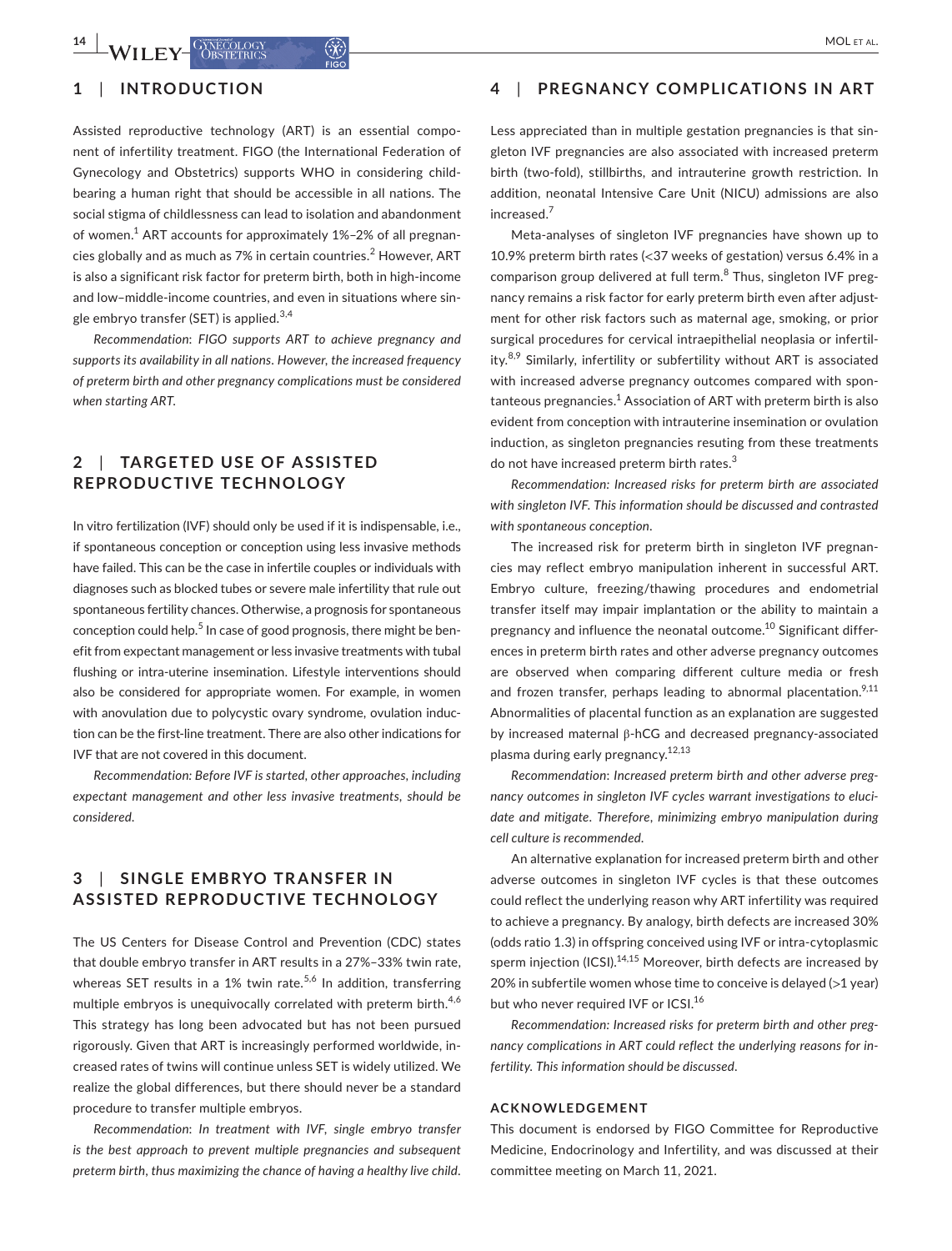## **1**  | **INTRODUCTION**

Assisted reproductive technology (ART) is an essential component of infertility treatment. FIGO (the International Federation of Gynecology and Obstetrics) supports WHO in considering childbearing a human right that should be accessible in all nations. The social stigma of childlessness can lead to isolation and abandonment of women.<sup>1</sup> ART accounts for approximately 1%–2% of all pregnancies globally and as much as 7% in certain countries. $^2$  However, ART is also a significant risk factor for preterm birth, both in high-income and low–middle-income countries, and even in situations where single embryo transfer (SET) is applied. $3,4$ 

*Recommendation*: *FIGO supports ART to achieve pregnancy and supports its availability in all nations*. *However*, *the increased frequency of preterm birth and other pregnancy complications must be considered when starting ART*.

## **2**  | **TARGETED USE OF A SSISTED REPRODUCTIVE TECHNOLOGY**

In vitro fertilization (IVF) should only be used if it is indispensable, i.e., if spontaneous conception or conception using less invasive methods have failed. This can be the case in infertile couples or individuals with diagnoses such as blocked tubes or severe male infertility that rule out spontaneous fertility chances. Otherwise, a prognosis for spontaneous conception could help.<sup>5</sup> In case of good prognosis, there might be benefit from expectant management or less invasive treatments with tubal flushing or intra-uterine insemination. Lifestyle interventions should also be considered for appropriate women. For example, in women with anovulation due to polycystic ovary syndrome, ovulation induction can be the first-line treatment. There are also other indications for IVF that are not covered in this document.

*Recommendation: Before IVF is started, other approaches, including expectant management and other less invasive treatments, should be considered*.

## **3**  | **SINGLE EMBRYO TR ANSFER IN ASSISTED REPRODUCTIVE TECHNOLOGY**

The US Centers for Disease Control and Prevention (CDC) states that double embryo transfer in ART results in a 27%–33% twin rate, whereas SET results in a 1% twin rate.<sup>5,6</sup> In addition, transferring multiple embryos is unequivocally correlated with preterm birth.<sup>4,6</sup> This strategy has long been advocated but has not been pursued rigorously. Given that ART is increasingly performed worldwide, increased rates of twins will continue unless SET is widely utilized. We realize the global differences, but there should never be a standard procedure to transfer multiple embryos.

*Recommendation*: *In treatment with IVF*, *single embryo transfer is the best approach to prevent multiple pregnancies and subsequent preterm birth*, *thus maximizing the chance of having a healthy live child*.

## **4**  | **PREGNANCY COMPLICATIONS IN ART**

Less appreciated than in multiple gestation pregnancies is that singleton IVF pregnancies are also associated with increased preterm birth (two-fold), stillbirths, and intrauterine growth restriction. In addition, neonatal Intensive Care Unit (NICU) admissions are also increased.<sup>7</sup>

Meta-analyses of singleton IVF pregnancies have shown up to 10.9% preterm birth rates (<37 weeks of gestation) versus 6.4% in a comparison group delivered at full term.<sup>8</sup> Thus, singleton IVF pregnancy remains a risk factor for early preterm birth even after adjustment for other risk factors such as maternal age, smoking, or prior surgical procedures for cervical intraepithelial neoplasia or infertility. $8,9$  Similarly, infertility or subfertility without ART is associated with increased adverse pregnancy outcomes compared with spon $t$ anteous pregnancies. $^1$  Association of ART with preterm birth is also evident from conception with intrauterine insemination or ovulation induction, as singleton pregnancies resuting from these treatments do not have increased preterm birth rates.<sup>3</sup>

*Recommendation: Increased risks for preterm birth are associated with singleton IVF. This information should be discussed and contrasted with spontaneous conception*.

The increased risk for preterm birth in singleton IVF pregnancies may reflect embryo manipulation inherent in successful ART. Embryo culture, freezing/thawing procedures and endometrial transfer itself may impair implantation or the ability to maintain a pregnancy and influence the neonatal outcome.<sup>10</sup> Significant differences in preterm birth rates and other adverse pregnancy outcomes are observed when comparing different culture media or fresh and frozen transfer, perhaps leading to abnormal placentation.<sup>9,11</sup> Abnormalities of placental function as an explanation are suggested by increased maternal β-hCG and decreased pregnancy-associated plasma during early pregnancy.<sup>12,13</sup>

*Recommendation*: *Increased preterm birth and other adverse pregnancy outcomes in singleton IVF cycles warrant investigations to elucidate and mitigate*. *Therefore*, *minimizing embryo manipulation during cell culture is recommended*.

An alternative explanation for increased preterm birth and other adverse outcomes in singleton IVF cycles is that these outcomes could reflect the underlying reason why ART infertility was required to achieve a pregnancy. By analogy, birth defects are increased 30% (odds ratio 1.3) in offspring conceived using IVF or intra-cytoplasmic sperm injection (ICSI).<sup>14,15</sup> Moreover, birth defects are increased by 20% in subfertile women whose time to conceive is delayed (>1 year) but who never required IVF or ICSI.<sup>16</sup>

*Recommendation: Increased risks for preterm birth and other pregnancy complications in ART could reflect the underlying reasons for infertility. This information should be discussed*.

#### **ACKNOWLEDGEMENT**

This document is endorsed by FIGO Committee for Reproductive Medicine, Endocrinology and Infertility, and was discussed at their committee meeting on March 11, 2021.